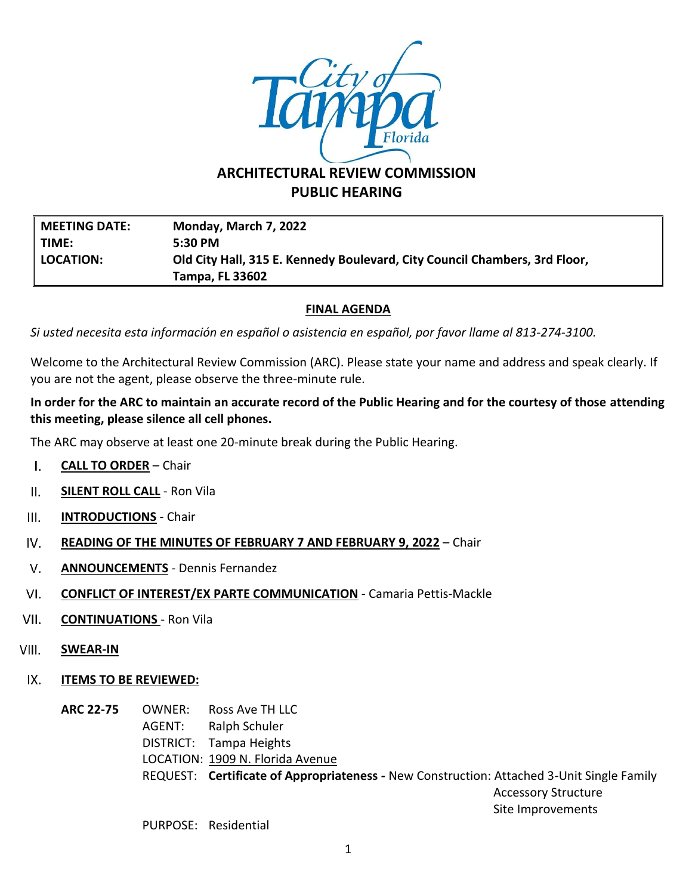

## **ARCHITECTURAL REVIEW COMMISSION PUBLIC HEARING**

| <b>MEETING DATE:</b> | Monday, March 7, 2022                                                      |
|----------------------|----------------------------------------------------------------------------|
| TIME:                | $5:30$ PM                                                                  |
| <b>LOCATION:</b>     | Old City Hall, 315 E. Kennedy Boulevard, City Council Chambers, 3rd Floor, |
|                      | Tampa, FL 33602                                                            |

## **FINAL AGENDA**

*Si usted necesita esta información en español o asistencia en español, por favor llame al 813-274-3100.*

Welcome to the Architectural Review Commission (ARC). Please state your name and address and speak clearly. If you are not the agent, please observe the three-minute rule.

## **In order for the ARC to maintain an accurate record of the Public Hearing and for the courtesy of those attending this meeting, please silence all cell phones.**

The ARC may observe at least one 20-minute break during the Public Hearing.

- $\mathbf{L}$ **CALL TO ORDER** – Chair
- $II.$ **SILENT ROLL CALL** - Ron Vila
- $III.$ **INTRODUCTIONS** - Chair
- IV. **READING OF THE MINUTES OF FEBRUARY 7 AND FEBRUARY 9, 2022** – Chair
- $V_{\cdot}$ **ANNOUNCEMENTS** - Dennis Fernandez
- VI. **CONFLICT OF INTEREST/EX PARTE COMMUNICATION** - Camaria Pettis-Mackle
- VII. **CONTINUATIONS** - Ron Vila
- VIII. **SWEAR-IN**
- $IX.$ **ITEMS TO BE REVIEWED:**

**ARC 22-75** OWNER: Ross Ave TH LLC AGENT: Ralph Schuler DISTRICT: Tampa Heights LOCATION: 1909 N. Florida Avenue REQUEST: **Certificate of Appropriateness -** New Construction: Attached 3-Unit Single Family Accessory Structure Site Improvements

PURPOSE: Residential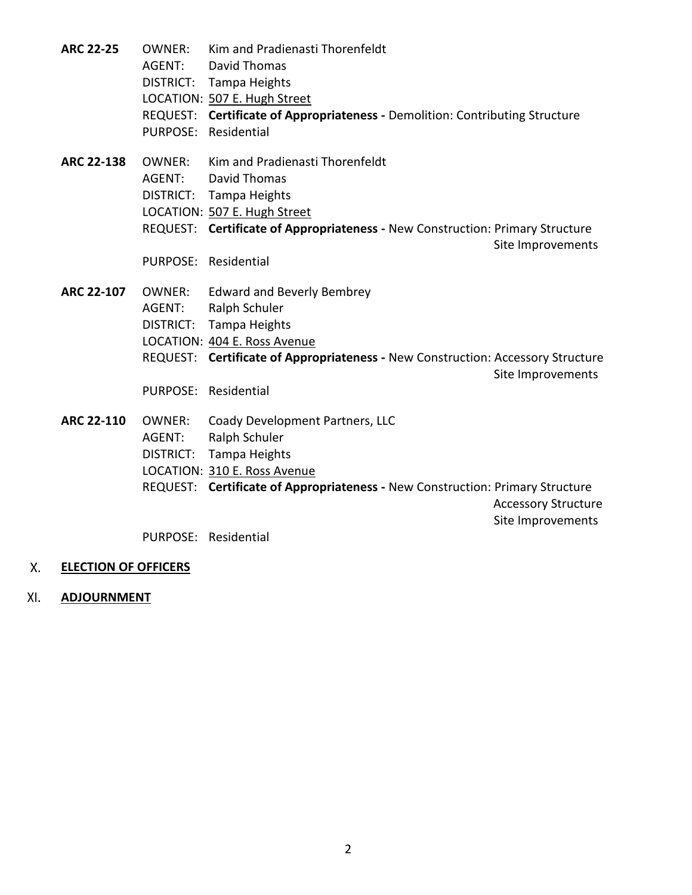| <b>ARC 22-25</b>  | OWNER: | Kim and Pradienasti Thorenfeldt                                                 |                            |
|-------------------|--------|---------------------------------------------------------------------------------|----------------------------|
|                   | AGENT: | <b>David Thomas</b>                                                             |                            |
|                   |        | DISTRICT: Tampa Heights                                                         |                            |
|                   |        | LOCATION: 507 E. Hugh Street                                                    |                            |
|                   |        | REQUEST: Certificate of Appropriateness - Demolition: Contributing Structure    |                            |
|                   |        | PURPOSE: Residential                                                            |                            |
| <b>ARC 22-138</b> | OWNER: | Kim and Pradienasti Thorenfeldt                                                 |                            |
|                   | AGENT: | David Thomas                                                                    |                            |
|                   |        | DISTRICT: Tampa Heights                                                         |                            |
|                   |        | LOCATION: 507 E. Hugh Street                                                    |                            |
|                   |        | REQUEST: Certificate of Appropriateness - New Construction: Primary Structure   |                            |
|                   |        |                                                                                 | Site Improvements          |
|                   |        | PURPOSE: Residential                                                            |                            |
| <b>ARC 22-107</b> |        | <b>OWNER:</b> Edward and Beverly Bembrey                                        |                            |
|                   | AGENT: | Ralph Schuler                                                                   |                            |
|                   |        | DISTRICT: Tampa Heights                                                         |                            |
|                   |        | LOCATION: 404 E. Ross Avenue                                                    |                            |
|                   |        | REQUEST: Certificate of Appropriateness - New Construction: Accessory Structure | Site Improvements          |
|                   |        | PURPOSE: Residential                                                            |                            |
| <b>ARC 22-110</b> | OWNER: | Coady Development Partners, LLC                                                 |                            |
|                   | AGENT: | Ralph Schuler                                                                   |                            |
|                   |        | DISTRICT: Tampa Heights                                                         |                            |
|                   |        | LOCATION: 310 E. Ross Avenue                                                    |                            |
|                   |        | REQUEST: Certificate of Appropriateness - New Construction: Primary Structure   |                            |
|                   |        |                                                                                 | <b>Accessory Structure</b> |
|                   |        |                                                                                 | Site Improvements          |
|                   |        | PURPOSE: Residential                                                            |                            |

- X. **ELECTION OF OFFICERS**
- **ADJOURNMENT**